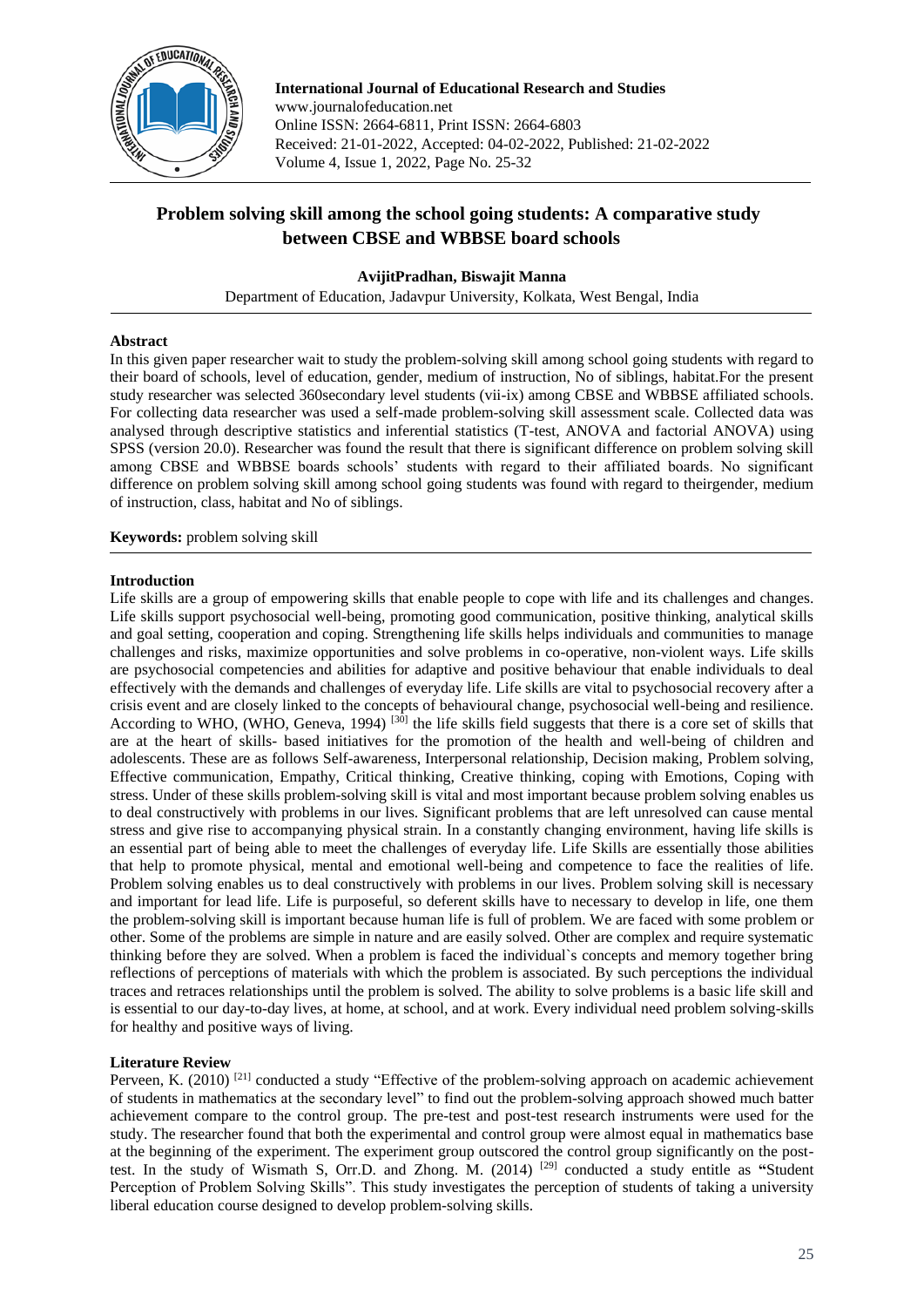

**International Journal of Educational Research and Studies** www.journalofeducation.net Online ISSN: 2664-6811, Print ISSN: 2664-6803 Received: 21-01-2022, Accepted: 04-02-2022, Published: 21-02-2022 Volume 4, Issue 1, 2022, Page No. 25-32

# **Problem solving skill among the school going students: A comparative study between CBSE and WBBSE board schools**

# **AvijitPradhan, Biswajit Manna**

Department of Education, Jadavpur University, Kolkata, West Bengal, India

# **Abstract**

In this given paper researcher wait to study the problem-solving skill among school going students with regard to their board of schools, level of education, gender, medium of instruction, No of siblings, habitat.For the present study researcher was selected 360secondary level students (vii-ix) among CBSE and WBBSE affiliated schools. For collecting data researcher was used a self-made problem-solving skill assessment scale. Collected data was analysed through descriptive statistics and inferential statistics (T-test, ANOVA and factorial ANOVA) using SPSS (version 20.0). Researcher was found the result that there is significant difference on problem solving skill among CBSE and WBBSE boards schools' students with regard to their affiliated boards. No significant difference on problem solving skill among school going students was found with regard to theirgender, medium of instruction, class, habitat and No of siblings.

**Keywords:** problem solving skill

## **Introduction**

Life skills are a group of empowering skills that enable people to cope with life and its challenges and changes. Life skills support psychosocial well-being, promoting good communication, positive thinking, analytical skills and goal setting, cooperation and coping. Strengthening life skills helps individuals and communities to manage challenges and risks, maximize opportunities and solve problems in co-operative, non-violent ways. Life skills are psychosocial competencies and abilities for adaptive and positive behaviour that enable individuals to deal effectively with the demands and challenges of everyday life. Life skills are vital to psychosocial recovery after a crisis event and are closely linked to the concepts of behavioural change, psychosocial well-being and resilience. According to WHO, (WHO, Geneva, 1994) <sup>[30]</sup> the life skills field suggests that there is a core set of skills that are at the heart of skills- based initiatives for the promotion of the health and well-being of children and adolescents. These are as follows Self-awareness, Interpersonal relationship, Decision making, Problem solving, Effective communication, Empathy, Critical thinking, Creative thinking, coping with Emotions, Coping with stress. Under of these skills problem-solving skill is vital and most important because problem solving enables us to deal constructively with problems in our lives. Significant problems that are left unresolved can cause mental stress and give rise to accompanying physical strain. In a constantly changing environment, having life skills is an essential part of being able to meet the challenges of everyday life. Life Skills are essentially those abilities that help to promote physical, mental and emotional well-being and competence to face the realities of life. Problem solving enables us to deal constructively with problems in our lives. Problem solving skill is necessary and important for lead life. Life is purposeful, so deferent skills have to necessary to develop in life, one them the problem-solving skill is important because human life is full of problem. We are faced with some problem or other. Some of the problems are simple in nature and are easily solved. Other are complex and require systematic thinking before they are solved. When a problem is faced the individual`s concepts and memory together bring reflections of perceptions of materials with which the problem is associated. By such perceptions the individual traces and retraces relationships until the problem is solved. The ability to solve problems is a basic life skill and is essential to our day-to-day lives, at home, at school, and at work. Every individual need problem solving-skills for healthy and positive ways of living.

# **Literature Review**

Perveen, K. (2010)<sup>[21]</sup> conducted a study "Effective of the problem-solving approach on academic achievement of students in mathematics at the secondary level" to find out the problem-solving approach showed much batter achievement compare to the control group. The pre-test and post-test research instruments were used for the study. The researcher found that both the experimental and control group were almost equal in mathematics base at the beginning of the experiment. The experiment group outscored the control group significantly on the posttest. In the study of Wismath S, Orr.D. and Zhong. M. (2014) [29] conducted a study entitle as **"**Student Perception of Problem Solving Skills". This study investigates the perception of students of taking a university liberal education course designed to develop problem-solving skills.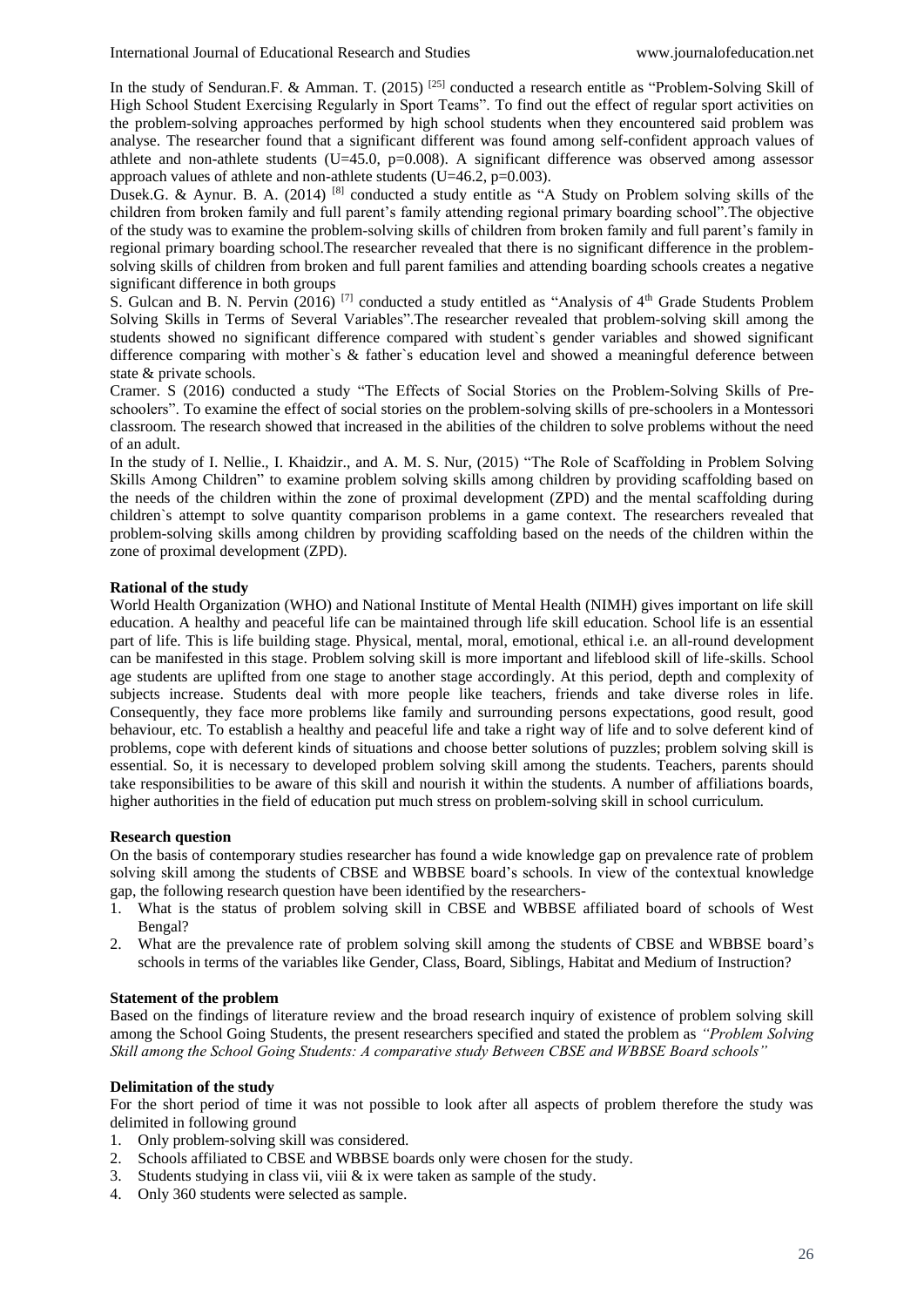In the study of Senduran.F. & Amman. T. (2015)<sup>[25]</sup> conducted a research entitle as "Problem-Solving Skill of High School Student Exercising Regularly in Sport Teams". To find out the effect of regular sport activities on the problem-solving approaches performed by high school students when they encountered said problem was analyse. The researcher found that a significant different was found among self-confident approach values of athlete and non-athlete students (U=45.0, p=0.008). A significant difference was observed among assessor approach values of athlete and non-athlete students (U=46.2, p=0.003).

Dusek.G. & Aynur. B. A. (2014) <sup>[8]</sup> conducted a study entitle as "A Study on Problem solving skills of the children from broken family and full parent's family attending regional primary boarding school".The objective of the study was to examine the problem-solving skills of children from broken family and full parent's family in regional primary boarding school.The researcher revealed that there is no significant difference in the problemsolving skills of children from broken and full parent families and attending boarding schools creates a negative significant difference in both groups

S. Gulcan and B. N. Pervin (2016)<sup>[7]</sup> conducted a study entitled as "Analysis of 4<sup>th</sup> Grade Students Problem Solving Skills in Terms of Several Variables".The researcher revealed that problem-solving skill among the students showed no significant difference compared with student`s gender variables and showed significant difference comparing with mother`s & father`s education level and showed a meaningful deference between state & private schools.

Cramer. S (2016) conducted a study "The Effects of Social Stories on the Problem-Solving Skills of Preschoolers". To examine the effect of social stories on the problem-solving skills of pre-schoolers in a Montessori classroom. The research showed that increased in the abilities of the children to solve problems without the need of an adult.

In the study of I. Nellie., I. Khaidzir., and A. M. S. Nur, (2015) "The Role of Scaffolding in Problem Solving Skills Among Children" to examine problem solving skills among children by providing scaffolding based on the needs of the children within the zone of proximal development (ZPD) and the mental scaffolding during children`s attempt to solve quantity comparison problems in a game context. The researchers revealed that problem-solving skills among children by providing scaffolding based on the needs of the children within the zone of proximal development (ZPD).

## **Rational of the study**

World Health Organization (WHO) and National Institute of Mental Health (NIMH) gives important on life skill education. A healthy and peaceful life can be maintained through life skill education. School life is an essential part of life. This is life building stage. Physical, mental, moral, emotional, ethical i.e. an all-round development can be manifested in this stage. Problem solving skill is more important and lifeblood skill of life-skills. School age students are uplifted from one stage to another stage accordingly. At this period, depth and complexity of subjects increase. Students deal with more people like teachers, friends and take diverse roles in life. Consequently, they face more problems like family and surrounding persons expectations, good result, good behaviour, etc. To establish a healthy and peaceful life and take a right way of life and to solve deferent kind of problems, cope with deferent kinds of situations and choose better solutions of puzzles; problem solving skill is essential. So, it is necessary to developed problem solving skill among the students. Teachers, parents should take responsibilities to be aware of this skill and nourish it within the students. A number of affiliations boards, higher authorities in the field of education put much stress on problem-solving skill in school curriculum.

#### **Research question**

On the basis of contemporary studies researcher has found a wide knowledge gap on prevalence rate of problem solving skill among the students of CBSE and WBBSE board's schools. In view of the contextual knowledge gap, the following research question have been identified by the researchers-

- 1. What is the status of problem solving skill in CBSE and WBBSE affiliated board of schools of West Bengal?
- 2. What are the prevalence rate of problem solving skill among the students of CBSE and WBBSE board's schools in terms of the variables like Gender, Class, Board, Siblings, Habitat and Medium of Instruction?

#### **Statement of the problem**

Based on the findings of literature review and the broad research inquiry of existence of problem solving skill among the School Going Students, the present researchers specified and stated the problem as *"Problem Solving Skill among the School Going Students: A comparative study Between CBSE and WBBSE Board schools"*

#### **Delimitation of the study**

For the short period of time it was not possible to look after all aspects of problem therefore the study was delimited in following ground

- 1. Only problem-solving skill was considered.
- 2. Schools affiliated to CBSE and WBBSE boards only were chosen for the study.
- 3. Students studying in class vii, viii & ix were taken as sample of the study.
- 4. Only 360 students were selected as sample.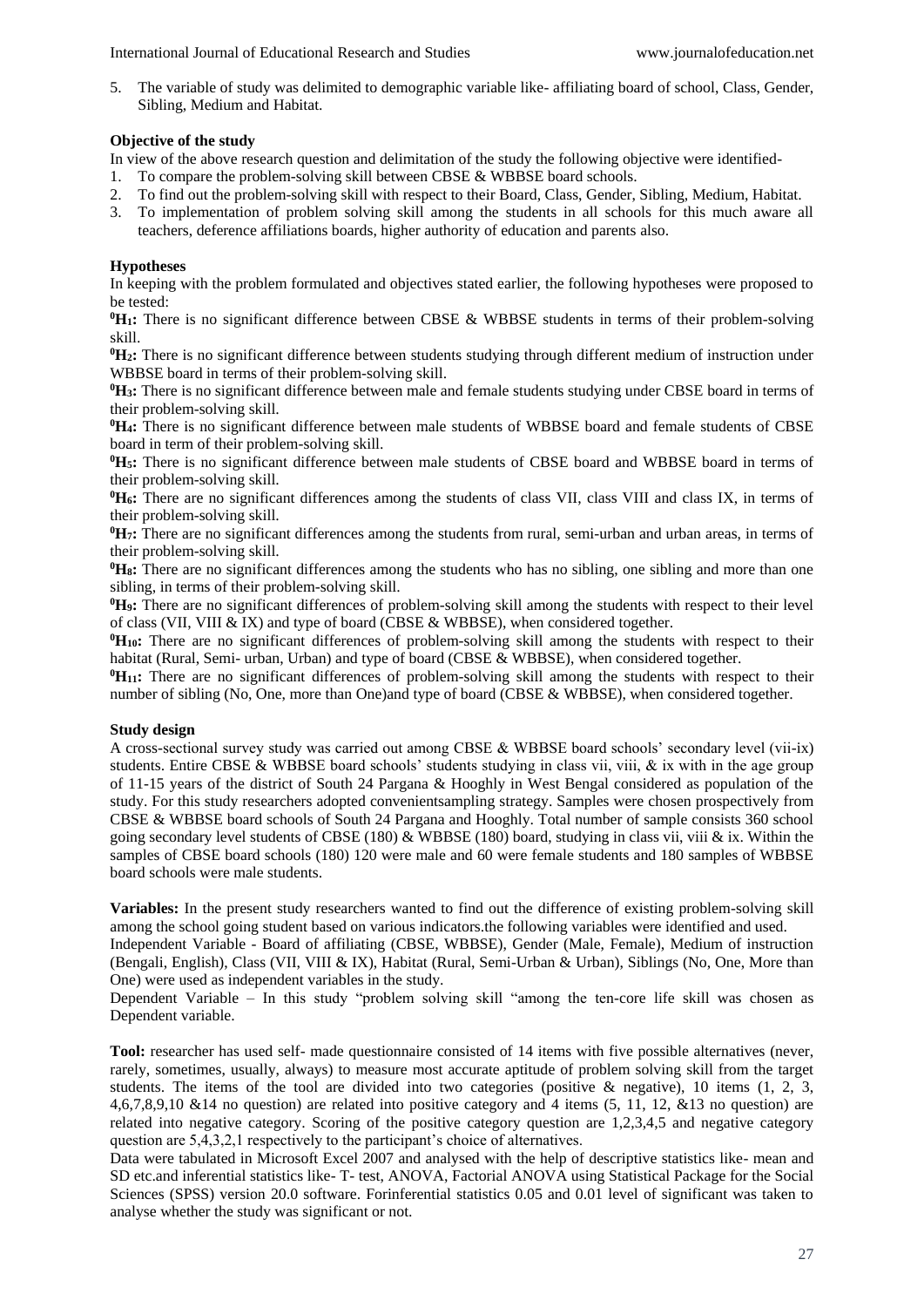5. The variable of study was delimited to demographic variable like- affiliating board of school, Class, Gender, Sibling, Medium and Habitat.

## **Objective of the study**

In view of the above research question and delimitation of the study the following objective were identified-

- 1. To compare the problem-solving skill between CBSE & WBBSE board schools.
- 2. To find out the problem-solving skill with respect to their Board, Class, Gender, Sibling, Medium, Habitat.
- 3. To implementation of problem solving skill among the students in all schools for this much aware all teachers, deference affiliations boards, higher authority of education and parents also.

## **Hypotheses**

In keeping with the problem formulated and objectives stated earlier, the following hypotheses were proposed to be tested:

**<sup>0</sup>H1:** There is no significant difference between CBSE & WBBSE students in terms of their problem-solving skill.

**<sup>0</sup>H2:** There is no significant difference between students studying through different medium of instruction under WBBSE board in terms of their problem-solving skill.

<sup>0</sup>H<sub>3</sub>**:** There is no significant difference between male and female students studying under CBSE board in terms of their problem-solving skill.

**<sup>0</sup>H4:** There is no significant difference between male students of WBBSE board and female students of CBSE board in term of their problem-solving skill.

**<sup>0</sup>H5:** There is no significant difference between male students of CBSE board and WBBSE board in terms of their problem-solving skill.

**<sup>0</sup>H6:** There are no significant differences among the students of class VII, class VIII and class IX, in terms of their problem-solving skill.

**<sup>0</sup>H7:** There are no significant differences among the students from rural, semi-urban and urban areas, in terms of their problem-solving skill.

**<sup>0</sup>H8:** There are no significant differences among the students who has no sibling, one sibling and more than one sibling, in terms of their problem-solving skill.

**<sup>0</sup>H9:** There are no significant differences of problem-solving skill among the students with respect to their level of class (VII, VIII & IX) and type of board (CBSE & WBBSE), when considered together.

**<sup>0</sup>H10:** There are no significant differences of problem-solving skill among the students with respect to their habitat (Rural, Semi- urban, Urban) and type of board (CBSE & WBBSE), when considered together.

<sup>0</sup>**H**<sub>11</sub>**:** There are no significant differences of problem-solving skill among the students with respect to their number of sibling (No, One, more than One)and type of board (CBSE & WBBSE), when considered together.

#### **Study design**

A cross-sectional survey study was carried out among CBSE & WBBSE board schools' secondary level (vii-ix) students. Entire CBSE & WBBSE board schools' students studying in class vii, viii, & ix with in the age group of 11-15 years of the district of South 24 Pargana & Hooghly in West Bengal considered as population of the study. For this study researchers adopted convenientsampling strategy. Samples were chosen prospectively from CBSE & WBBSE board schools of South 24 Pargana and Hooghly. Total number of sample consists 360 school going secondary level students of CBSE (180) & WBBSE (180) board, studying in class vii, viii & ix. Within the samples of CBSE board schools (180) 120 were male and 60 were female students and 180 samples of WBBSE board schools were male students.

**Variables:** In the present study researchers wanted to find out the difference of existing problem-solving skill among the school going student based on various indicators.the following variables were identified and used.

Independent Variable - Board of affiliating (CBSE, WBBSE), Gender (Male, Female), Medium of instruction (Bengali, English), Class (VII, VIII & IX), Habitat (Rural, Semi-Urban & Urban), Siblings (No, One, More than One) were used as independent variables in the study.

Dependent Variable – In this study "problem solving skill "among the ten-core life skill was chosen as Dependent variable.

**Tool:** researcher has used self- made questionnaire consisted of 14 items with five possible alternatives (never, rarely, sometimes, usually, always) to measure most accurate aptitude of problem solving skill from the target students. The items of the tool are divided into two categories (positive  $\&$  negative), 10 items (1, 2, 3, 4,6,7,8,9,10 &14 no question) are related into positive category and 4 items (5, 11, 12, &13 no question) are related into negative category. Scoring of the positive category question are 1,2,3,4,5 and negative category question are 5,4,3,2,1 respectively to the participant's choice of alternatives.

Data were tabulated in Microsoft Excel 2007 and analysed with the help of descriptive statistics like- mean and SD etc.and inferential statistics like- T- test, ANOVA, Factorial ANOVA using Statistical Package for the Social Sciences (SPSS) version 20.0 software. Forinferential statistics 0.05 and 0.01 level of significant was taken to analyse whether the study was significant or not.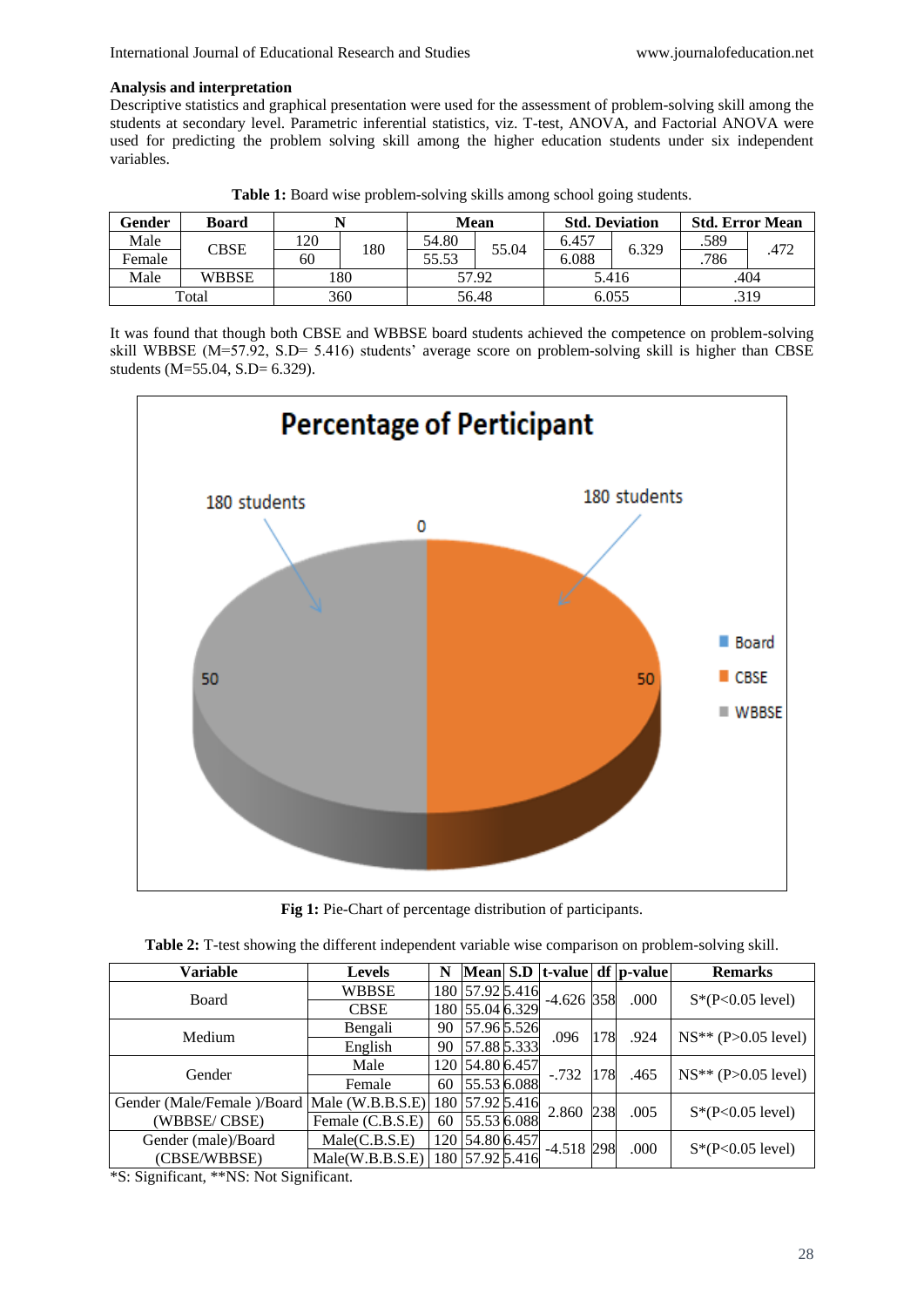## **Analysis and interpretation**

Descriptive statistics and graphical presentation were used for the assessment of problem-solving skill among the students at secondary level. Parametric inferential statistics, viz. T-test, ANOVA, and Factorial ANOVA were used for predicting the problem solving skill among the higher education students under six independent variables.

| Gender | <b>Board</b> |     |     |       | Mean  | <b>Std. Deviation</b> |       | <b>Std. Error Mean</b> |      |
|--------|--------------|-----|-----|-------|-------|-----------------------|-------|------------------------|------|
| Male   | CBSE         | 120 |     | 54.80 | 55.04 | 6.457                 | 6.329 | .589                   |      |
| Female |              | 60  | 180 | 55.53 |       | 6.088                 |       | 786                    | .472 |
| Male   | <b>WBBSE</b> |     | 180 |       | 57.92 |                       | 5.416 |                        | .404 |
|        | Total        |     | 360 |       | 56.48 |                       | 6.055 |                        | .319 |

**Table 1:** Board wise problem-solving skills among school going students.

It was found that though both CBSE and WBBSE board students achieved the competence on problem-solving skill WBBSE (M=57.92, S.D= 5.416) students' average score on problem-solving skill is higher than CBSE students (M=55.04, S.D= 6.329).



**Fig 1:** Pie-Chart of percentage distribution of participants.

| Variable                   | <b>Levels</b>      | N  |                 |              |     | Mean S.D   t-value   df   p-value | <b>Remarks</b>        |  |
|----------------------------|--------------------|----|-----------------|--------------|-----|-----------------------------------|-----------------------|--|
| Board                      | <b>WBBSE</b>       |    | 180 57.92 5.416 | $-4.626$ 358 |     | .000                              | $S*(P<0.05$ level)    |  |
|                            | <b>CBSE</b>        |    | 180 55.04 6.329 |              |     |                                   |                       |  |
| Medium                     | Bengali            | 90 | 57.96 5.526     | .096         | 178 | .924                              | $NS** (P>0.05 level)$ |  |
|                            | English            | 90 | 57.88 5.333     |              |     |                                   |                       |  |
| Gender                     | Male               |    | 120 54.80 6.457 | $-.732$      | 178 | .465                              | $NS** (P>0.05 level)$ |  |
|                            | Female             | 60 | 55.53 6.088     |              |     |                                   |                       |  |
| Gender (Male/Female)/Board | Male $(W.B.B.S.E)$ |    | 180 57.92 5.416 | 2.860        | 238 | .005                              | $S*(P<0.05$ level)    |  |
| (WBBSE/CBSE)               | Female (C.B.S.E)   | 60 | 55.53 6.088     |              |     |                                   |                       |  |
| Gender (male)/Board        | Male(C.B.S.E)      |    | 120 54.80 6.457 | $-4.518$ 298 |     | .000                              |                       |  |
| (CBSE/WBBSE)               | Male(W.B.B.S.E)    |    | 180 57.92 5.416 |              |     |                                   | $S*(P<0.05$ level)    |  |

**Table 2:** T-test showing the different independent variable wise comparison on problem-solving skill.

\*S: Significant, \*\*NS: Not Significant.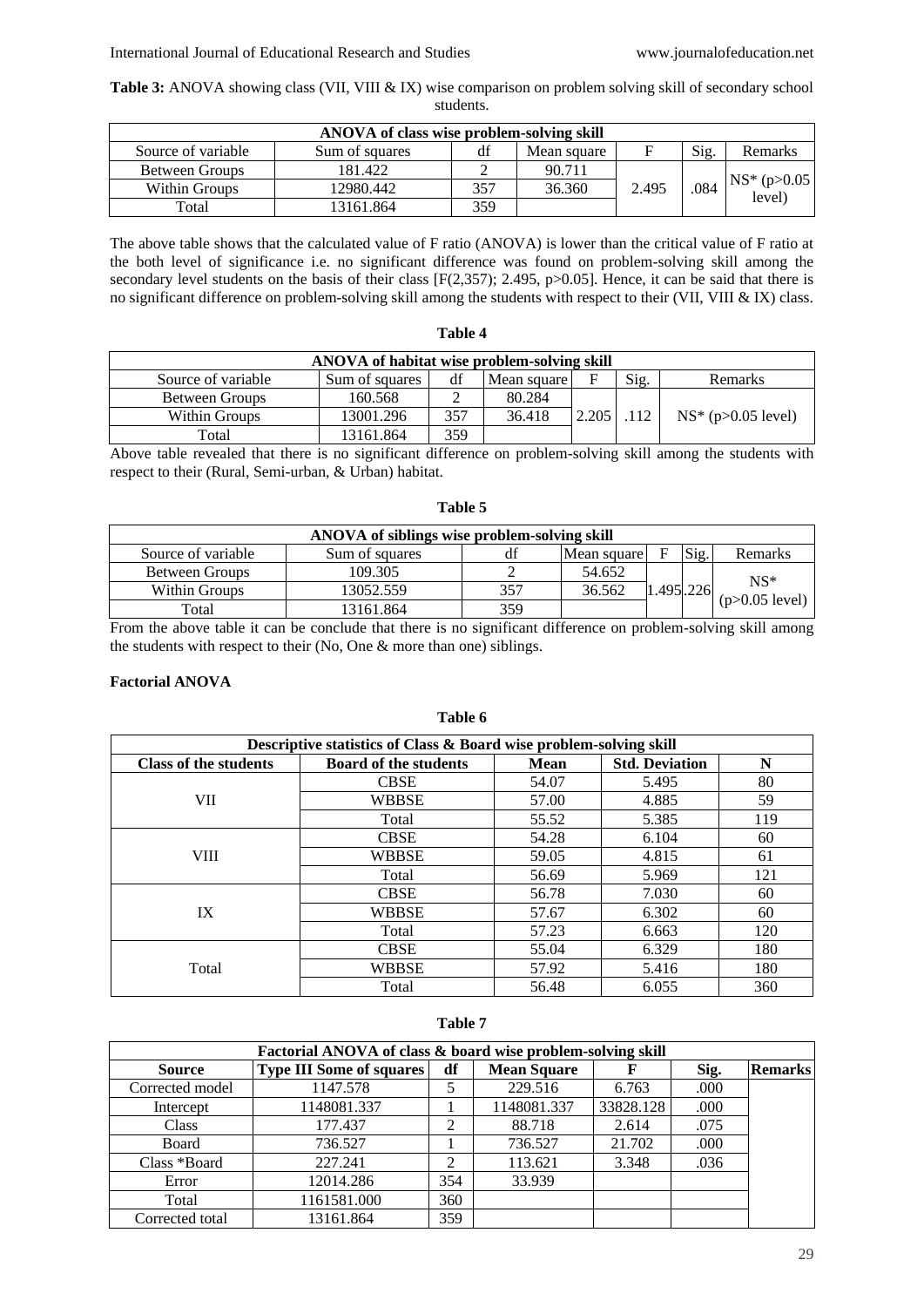**Table 3:** ANOVA showing class (VII, VIII & IX) wise comparison on problem solving skill of secondary school students.

| ANOVA of class wise problem-solving skill |                |     |             |       |      |                               |  |  |  |  |
|-------------------------------------------|----------------|-----|-------------|-------|------|-------------------------------|--|--|--|--|
| Source of variable                        | Sum of squares | df  | Mean square |       | Sig. | Remarks                       |  |  |  |  |
| Between Groups                            | 181.422        |     | 90.711      |       |      |                               |  |  |  |  |
| Within Groups                             | 12980.442      | 357 | 36.360      | 2.495 | .084 | $NS^*$ (p $>0.05$ )<br>level) |  |  |  |  |
| Total                                     | 13161.864      | 359 |             |       |      |                               |  |  |  |  |

The above table shows that the calculated value of F ratio (ANOVA) is lower than the critical value of F ratio at the both level of significance i.e. no significant difference was found on problem-solving skill among the secondary level students on the basis of their class [F(2,357); 2.495, p>0.05]. Hence, it can be said that there is no significant difference on problem-solving skill among the students with respect to their (VII, VIII & IX) class.

| ANOVA of habitat wise problem-solving skill |                |     |             |       |      |                          |  |  |  |  |
|---------------------------------------------|----------------|-----|-------------|-------|------|--------------------------|--|--|--|--|
| Source of variable                          | Sum of squares | df  | Mean square |       | Sig. | Remarks                  |  |  |  |  |
| Between Groups                              | 160.568        |     | 80.284      |       |      |                          |  |  |  |  |
| Within Groups                               | 13001.296      | 357 | 36.418      | 2.205 | .112 | $NS^*$ (p $>0.05$ level) |  |  |  |  |
| Total                                       | 13161.864      | 359 |             |       |      |                          |  |  |  |  |

**Table 4**

Above table revealed that there is no significant difference on problem-solving skill among the students with respect to their (Rural, Semi-urban, & Urban) habitat.

| ANOVA of siblings wise problem-solving skill |                |     |             |           |      |                  |  |  |  |  |
|----------------------------------------------|----------------|-----|-------------|-----------|------|------------------|--|--|--|--|
| Source of variable                           | Sum of squares | df  | Mean square |           | Sig. | Remarks          |  |  |  |  |
| Between Groups                               | 109.305        |     | 54.652      |           |      | $NS*$            |  |  |  |  |
| Within Groups                                | 13052.559      | 357 | 36.562      | 1.495.226 |      | $(p>0.05$ level) |  |  |  |  |
| Total                                        | 13161.864      | 359 |             |           |      |                  |  |  |  |  |

From the above table it can be conclude that there is no significant difference on problem-solving skill among the students with respect to their (No, One & more than one) siblings.

**Table 6**

# **Factorial ANOVA**

**Descriptive statistics of Class & Board wise problem-solving skill Class of the students Board of the students Mean Std. Deviation N** VII CBSE | 54.07 | 5.495 | 80 WBBSE | 57.00 | 4.885 | 59 Total 55.52 5.385 119 VIII CBSE | 54.28 | 6.104 | 60 WBBSE 19.05 4.815 61 Total  $56.69$  5.969 121 IX CBSE | 56.78 | 7.030 | 60 WBBSE 57.67 6.302 60<br>Total 57.23 6.663 120 Total 57.23 6.663 120 Total CBSE | 55.04 | 6.329 | 180 WBBSE 57.92 5.416 180 Total 56.48 6.055 360

| ×<br>۰,<br>٠<br>۹<br>۰. |  |  |
|-------------------------|--|--|
|-------------------------|--|--|

| Factorial ANOVA of class & board wise problem-solving skill |                                 |                |                    |           |      |                |  |  |  |
|-------------------------------------------------------------|---------------------------------|----------------|--------------------|-----------|------|----------------|--|--|--|
| <b>Source</b>                                               | <b>Type III Some of squares</b> | df             | <b>Mean Square</b> |           | Sig. | <b>Remarks</b> |  |  |  |
| Corrected model                                             | 1147.578                        |                | 229.516            | 6.763     | .000 |                |  |  |  |
| Intercept                                                   | 1148081.337                     |                | 1148081.337        | 33828.128 | .000 |                |  |  |  |
| <b>Class</b>                                                | 177.437                         | 2              | 88.718             | 2.614     | .075 |                |  |  |  |
| Board                                                       | 736.527                         |                | 736.527            | 21.702    | .000 |                |  |  |  |
| Class *Board                                                | 227.241                         | $\overline{c}$ | 113.621            | 3.348     | .036 |                |  |  |  |
| Error                                                       | 12014.286                       | 354            | 33.939             |           |      |                |  |  |  |
| Total                                                       | 1161581.000                     | 360            |                    |           |      |                |  |  |  |
| Corrected total                                             | 13161.864                       | 359            |                    |           |      |                |  |  |  |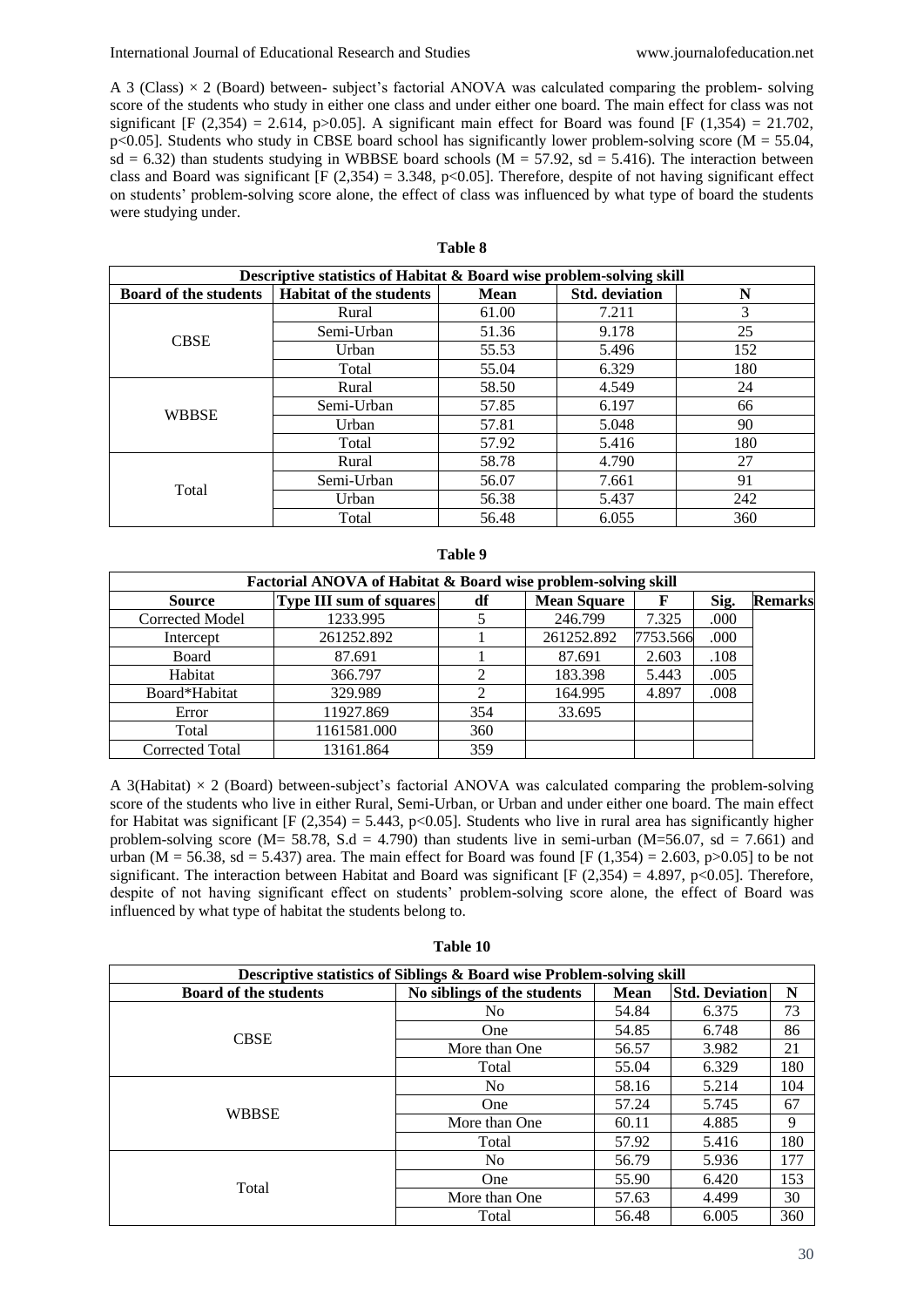A 3 (Class)  $\times$  2 (Board) between- subject's factorial ANOVA was calculated comparing the problem- solving score of the students who study in either one class and under either one board. The main effect for class was not significant [F (2,354) = 2.614, p>0.05]. A significant main effect for Board was found [F (1,354) = 21.702,  $p$ <0.05]. Students who study in CBSE board school has significantly lower problem-solving score (M = 55.04,  $sd = 6.32$ ) than students studying in WBBSE board schools (M = 57.92, sd = 5.416). The interaction between class and Board was significant [F (2,354) = 3.348, p<0.05]. Therefore, despite of not having significant effect on students' problem-solving score alone, the effect of class was influenced by what type of board the students were studying under.

# **Table 8**

|                              | Descriptive statistics of Habitat & Board wise problem-solving skill |             |                       |     |
|------------------------------|----------------------------------------------------------------------|-------------|-----------------------|-----|
| <b>Board of the students</b> | <b>Habitat of the students</b>                                       | <b>Mean</b> | <b>Std.</b> deviation | N   |
|                              | Rural                                                                | 61.00       | 7.211                 | 3   |
| <b>CBSE</b>                  | Semi-Urban                                                           | 51.36       | 9.178                 | 25  |
|                              | Urban                                                                | 55.53       | 5.496                 | 152 |
|                              | Total                                                                | 55.04       | 6.329                 | 180 |
|                              | Rural                                                                | 58.50       | 4.549                 | 24  |
| <b>WBBSE</b>                 | Semi-Urban                                                           | 57.85       | 6.197                 | 66  |
|                              | Urban                                                                | 57.81       | 5.048                 | 90  |
|                              | Total                                                                | 57.92       | 5.416                 | 180 |
|                              | Rural                                                                | 58.78       | 4.790                 | 27  |
| Total                        | Semi-Urban                                                           | 56.07       | 7.661                 | 91  |
|                              | Urban                                                                | 56.38       | 5.437                 | 242 |
|                              | Total                                                                | 56.48       | 6.055                 | 360 |

#### **Table 9**

| Factorial ANOVA of Habitat & Board wise problem-solving skill |                                |     |                    |          |      |                |  |  |  |  |
|---------------------------------------------------------------|--------------------------------|-----|--------------------|----------|------|----------------|--|--|--|--|
| <b>Source</b>                                                 | <b>Type III sum of squares</b> | df  | <b>Mean Square</b> | F        | Sig. | <b>Remarks</b> |  |  |  |  |
| <b>Corrected Model</b>                                        | 1233.995                       |     | 246.799            | 7.325    | .000 |                |  |  |  |  |
| Intercept                                                     | 261252.892                     |     | 261252.892         | 7753.566 | .000 |                |  |  |  |  |
| Board                                                         | 87.691                         |     | 87.691             | 2.603    | .108 |                |  |  |  |  |
| Habitat                                                       | 366.797                        |     | 183.398            | 5.443    | .005 |                |  |  |  |  |
| Board*Habitat                                                 | 329.989                        |     | 164.995            | 4.897    | .008 |                |  |  |  |  |
| Error                                                         | 11927.869                      | 354 | 33.695             |          |      |                |  |  |  |  |
| Total                                                         | 1161581.000                    | 360 |                    |          |      |                |  |  |  |  |
| Corrected Total                                               | 13161.864                      | 359 |                    |          |      |                |  |  |  |  |

A 3(Habitat) × 2 (Board) between-subject's factorial ANOVA was calculated comparing the problem-solving score of the students who live in either Rural, Semi-Urban, or Urban and under either one board. The main effect for Habitat was significant [F (2,354) = 5.443, p<0.05]. Students who live in rural area has significantly higher problem-solving score ( $M = 58.78$ ,  $S.d = 4.790$ ) than students live in semi-urban ( $M = 56.07$ ,  $sd = 7.661$ ) and urban (M = 56.38, sd = 5.437) area. The main effect for Board was found [F (1,354) = 2.603, p>0.05] to be not significant. The interaction between Habitat and Board was significant [F  $(2,354) = 4.897$ , p<0.05]. Therefore, despite of not having significant effect on students' problem-solving score alone, the effect of Board was influenced by what type of habitat the students belong to.

|                              | Descriptive statistics of Siblings & Board wise Problem-solving skill                                                               |                                                                                                                                                                |                       |     |  |  |  |  |  |
|------------------------------|-------------------------------------------------------------------------------------------------------------------------------------|----------------------------------------------------------------------------------------------------------------------------------------------------------------|-----------------------|-----|--|--|--|--|--|
| <b>Board of the students</b> | No siblings of the students                                                                                                         | <b>Mean</b>                                                                                                                                                    | <b>Std. Deviation</b> | N   |  |  |  |  |  |
|                              | No                                                                                                                                  | 54.84                                                                                                                                                          | 6.375                 | 73  |  |  |  |  |  |
| <b>CBSE</b>                  | <b>One</b>                                                                                                                          | 54.85                                                                                                                                                          | 6.748                 | 86  |  |  |  |  |  |
|                              | More than One<br>Total<br>N <sub>0</sub><br>One<br>More than One<br>Total<br>N <sub>0</sub><br><b>One</b><br>More than One<br>Total | 56.57                                                                                                                                                          | 3.982                 | 21  |  |  |  |  |  |
|                              |                                                                                                                                     | 55.04<br>6.329<br>5.214<br>58.16<br>5.745<br>57.24<br>4.885<br>60.11<br>5.416<br>57.92<br>5.936<br>56.79<br>55.90<br>6.420<br>57.63<br>4.499<br>56.48<br>6.005 | 180                   |     |  |  |  |  |  |
| <b>WBBSE</b>                 |                                                                                                                                     |                                                                                                                                                                |                       | 104 |  |  |  |  |  |
|                              |                                                                                                                                     |                                                                                                                                                                |                       | 67  |  |  |  |  |  |
|                              |                                                                                                                                     | 9                                                                                                                                                              |                       |     |  |  |  |  |  |
|                              |                                                                                                                                     |                                                                                                                                                                |                       | 180 |  |  |  |  |  |
|                              |                                                                                                                                     |                                                                                                                                                                |                       | 177 |  |  |  |  |  |
| Total                        |                                                                                                                                     |                                                                                                                                                                |                       | 153 |  |  |  |  |  |
|                              |                                                                                                                                     |                                                                                                                                                                |                       | 30  |  |  |  |  |  |
|                              |                                                                                                                                     | 360                                                                                                                                                            |                       |     |  |  |  |  |  |

**Table 10**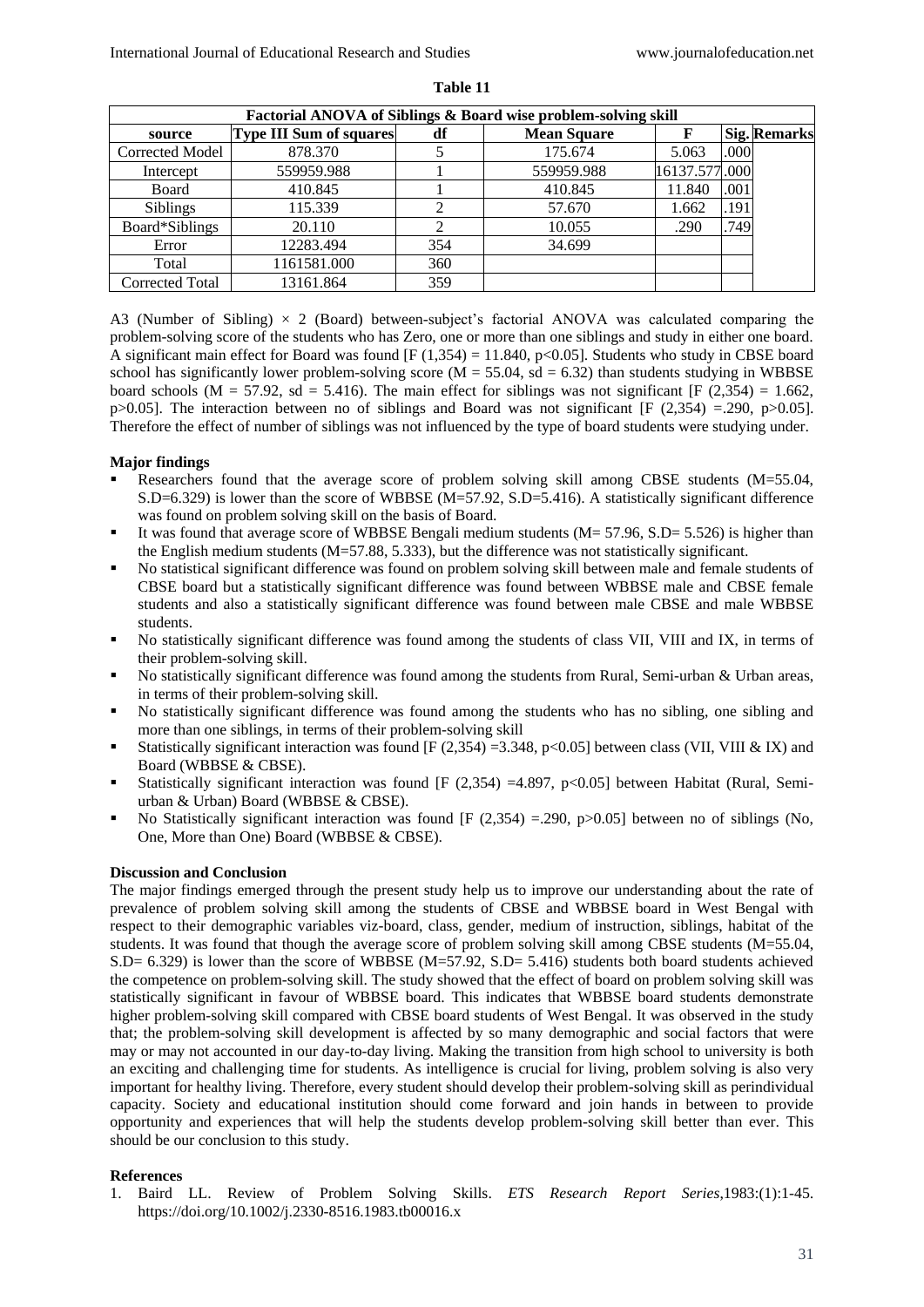| Factorial ANOVA of Siblings & Board wise problem-solving skill |                                |     |                    |               |      |                     |  |  |  |  |
|----------------------------------------------------------------|--------------------------------|-----|--------------------|---------------|------|---------------------|--|--|--|--|
| source                                                         | <b>Type III Sum of squares</b> | df  | <b>Mean Square</b> |               |      | <b>Sig. Remarks</b> |  |  |  |  |
| <b>Corrected Model</b>                                         | 878.370                        |     | 175.674            | 5.063         | .000 |                     |  |  |  |  |
| Intercept                                                      | 559959.988                     |     | 559959.988         | 16137.577.000 |      |                     |  |  |  |  |
| Board                                                          | 410.845                        |     | 410.845            | 11.840        | .001 |                     |  |  |  |  |
| <b>Siblings</b>                                                | 115.339                        | ◠   | 57.670             | 1.662         | .191 |                     |  |  |  |  |
| Board*Siblings                                                 | 20.110                         |     | 10.055             | .290          | .749 |                     |  |  |  |  |
| Error                                                          | 12283.494                      | 354 | 34.699             |               |      |                     |  |  |  |  |
| Total                                                          | 1161581.000                    | 360 |                    |               |      |                     |  |  |  |  |
| <b>Corrected Total</b>                                         | 13161.864                      | 359 |                    |               |      |                     |  |  |  |  |

**Table 11**

A3 (Number of Sibling)  $\times$  2 (Board) between-subject's factorial ANOVA was calculated comparing the problem-solving score of the students who has Zero, one or more than one siblings and study in either one board. A significant main effect for Board was found  $[F(1,354) = 11.840, p<0.05]$ . Students who study in CBSE board school has significantly lower problem-solving score ( $M = 55.04$ , sd = 6.32) than students studying in WBBSE board schools (M = 57.92, sd = 5.416). The main effect for siblings was not significant [F (2,354) = 1.662, p>0.05]. The interaction between no of siblings and Board was not significant [F (2,354) =.290, p>0.05]. Therefore the effect of number of siblings was not influenced by the type of board students were studying under.

#### **Major findings**

- Researchers found that the average score of problem solving skill among CBSE students (M=55.04, S.D=6.329) is lower than the score of WBBSE (M=57.92, S.D=5.416). A statistically significant difference was found on problem solving skill on the basis of Board.
- It was found that average score of WBBSE Bengali medium students (M= 57.96, S.D= 5.526) is higher than the English medium students (M=57.88, 5.333), but the difference was not statistically significant.
- No statistical significant difference was found on problem solving skill between male and female students of CBSE board but a statistically significant difference was found between WBBSE male and CBSE female students and also a statistically significant difference was found between male CBSE and male WBBSE students.
- No statistically significant difference was found among the students of class VII, VIII and IX, in terms of their problem-solving skill.
- No statistically significant difference was found among the students from Rural, Semi-urban & Urban areas, in terms of their problem-solving skill.
- No statistically significant difference was found among the students who has no sibling, one sibling and more than one siblings, in terms of their problem-solving skill
- Statistically significant interaction was found [F (2,354) =3.348, p<0.05] between class (VII, VIII & IX) and Board (WBBSE & CBSE).
- Statistically significant interaction was found [F (2,354) =4.897, p<0.05] between Habitat (Rural, Semiurban & Urban) Board (WBBSE & CBSE).
- No Statistically significant interaction was found [F  $(2,354) = .290$ , p $>0.05$ ] between no of siblings (No, One, More than One) Board (WBBSE & CBSE).

## **Discussion and Conclusion**

The major findings emerged through the present study help us to improve our understanding about the rate of prevalence of problem solving skill among the students of CBSE and WBBSE board in West Bengal with respect to their demographic variables viz-board, class, gender, medium of instruction, siblings, habitat of the students. It was found that though the average score of problem solving skill among CBSE students (M=55.04,  $S.D = 6.329$ ) is lower than the score of WBBSE (M=57.92, S.D= 5.416) students both board students achieved the competence on problem-solving skill. The study showed that the effect of board on problem solving skill was statistically significant in favour of WBBSE board. This indicates that WBBSE board students demonstrate higher problem-solving skill compared with CBSE board students of West Bengal. It was observed in the study that; the problem-solving skill development is affected by so many demographic and social factors that were may or may not accounted in our day-to-day living. Making the transition from high school to university is both an exciting and challenging time for students. As intelligence is crucial for living, problem solving is also very important for healthy living. Therefore, every student should develop their problem-solving skill as perindividual capacity. Society and educational institution should come forward and join hands in between to provide opportunity and experiences that will help the students develop problem-solving skill better than ever. This should be our conclusion to this study.

#### **References**

1. Baird LL. Review of Problem Solving Skills. *ETS Research Report Series*,1983:(1):1-45. https://doi.org/10.1002/j.2330-8516.1983.tb00016.x